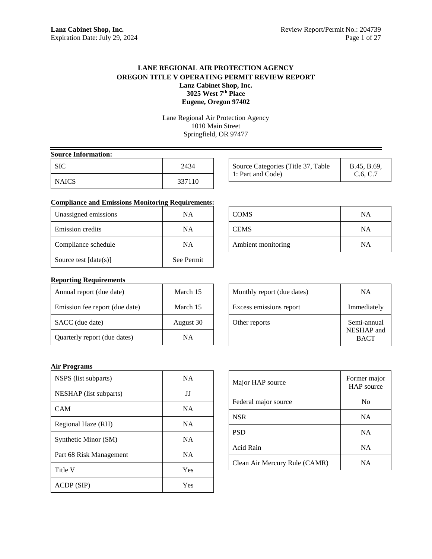# **LANE REGIONAL AIR PROTECTION AGENCY OREGON TITLE V OPERATING PERMIT REVIEW REPORT Lanz Cabinet Shop, Inc. 3025 West 7th Place Eugene, Oregon 97402**

Lane Regional Air Protection Agency 1010 Main Street Springfield, OR 97477

| <b>Source Information:</b> |        |  |
|----------------------------|--------|--|
| SIC.                       | 2434   |  |
| <b>NAICS</b>               | 337110 |  |

| Source Categories (Title 37, Table<br>B.45, B.69,<br>1: Part and Code)<br>C.6, C.7 |
|------------------------------------------------------------------------------------|
|------------------------------------------------------------------------------------|

# **Compliance and Emissions Monitoring Requirements:**

| Unassigned emissions    | NА         |
|-------------------------|------------|
| Emission credits        | NA         |
| Compliance schedule     | NA         |
| Source test $[date(s)]$ | See Permit |

# COMS NA CEMS NA Ambient monitoring NA

# **Reporting Requirements**

| Annual report (due date)       | March 15  |
|--------------------------------|-----------|
| Emission fee report (due date) | March 15  |
| SACC (due date)                | August 30 |
| Quarterly report (due dates)   | NΑ        |

# Monthly report (due dates) NA Excess emissions report Immediately Other reports Semi-annual NESHAP and BACT

# **Air Programs**

| NSPS (list subparts)    | <b>NA</b> |
|-------------------------|-----------|
| NESHAP (list subparts)  | IJ        |
| CAM                     | <b>NA</b> |
| Regional Haze (RH)      | <b>NA</b> |
| Synthetic Minor (SM)    | <b>NA</b> |
| Part 68 Risk Management | <b>NA</b> |
| Title V                 | Yes       |
| ACDP (SIP)              | Yes       |

| Major HAP source              | Former major<br>HAP source |
|-------------------------------|----------------------------|
| Federal major source          | N <sub>0</sub>             |
| <b>NSR</b>                    | <b>NA</b>                  |
| <b>PSD</b>                    | <b>NA</b>                  |
| Acid Rain                     | <b>NA</b>                  |
| Clean Air Mercury Rule (CAMR) | NA                         |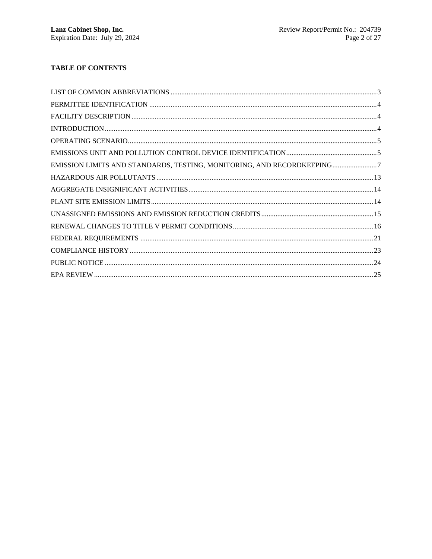# **TABLE OF CONTENTS**

| EMISSION LIMITS AND STANDARDS, TESTING, MONITORING, AND RECORDKEEPING7 |  |
|------------------------------------------------------------------------|--|
|                                                                        |  |
|                                                                        |  |
|                                                                        |  |
|                                                                        |  |
|                                                                        |  |
|                                                                        |  |
|                                                                        |  |
|                                                                        |  |
|                                                                        |  |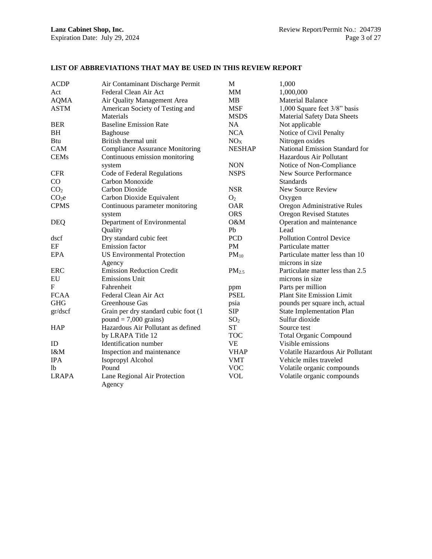| <b>ACDP</b>       | Air Contaminant Discharge Permit       | M                 | 1,000                              |
|-------------------|----------------------------------------|-------------------|------------------------------------|
| Act               | Federal Clean Air Act                  | MM                | 1,000,000                          |
| <b>AQMA</b>       | Air Quality Management Area            | MВ                | <b>Material Balance</b>            |
| <b>ASTM</b>       | American Society of Testing and        | <b>MSF</b>        | 1,000 Square feet 3/8" basis       |
|                   | Materials                              | <b>MSDS</b>       | <b>Material Safety Data Sheets</b> |
| <b>BER</b>        | <b>Baseline Emission Rate</b>          | <b>NA</b>         | Not applicable                     |
| <b>BH</b>         | <b>Baghouse</b>                        | <b>NCA</b>        | Notice of Civil Penalty            |
| Btu               | British thermal unit                   | NO <sub>X</sub>   | Nitrogen oxides                    |
| <b>CAM</b>        | <b>Compliance Assurance Monitoring</b> | <b>NESHAP</b>     | National Emission Standard for     |
| <b>CEMs</b>       | Continuous emission monitoring         |                   | Hazardous Air Pollutant            |
|                   | system                                 | <b>NON</b>        | Notice of Non-Compliance           |
| <b>CFR</b>        | Code of Federal Regulations            | <b>NSPS</b>       | New Source Performance             |
| CO                | Carbon Monoxide                        |                   | <b>Standards</b>                   |
| CO <sub>2</sub>   | Carbon Dioxide                         | <b>NSR</b>        | New Source Review                  |
| CO <sub>2</sub> e | Carbon Dioxide Equivalent              | O <sub>2</sub>    | Oxygen                             |
| <b>CPMS</b>       | Continuous parameter monitoring        | <b>OAR</b>        | Oregon Administrative Rules        |
|                   | system                                 | <b>ORS</b>        | <b>Oregon Revised Statutes</b>     |
| <b>DEQ</b>        | Department of Environmental            | O&M               | Operation and maintenance          |
|                   | Quality                                | Pb                | Lead                               |
| dscf              | Dry standard cubic feet                | PCD               | <b>Pollution Control Device</b>    |
| EF                | <b>Emission</b> factor                 | <b>PM</b>         | Particulate matter                 |
| <b>EPA</b>        | <b>US Environmental Protection</b>     | $PM_{10}$         | Particulate matter less than 10    |
|                   | Agency                                 |                   | microns in size                    |
| ERC               | <b>Emission Reduction Credit</b>       | PM <sub>2.5</sub> | Particulate matter less than 2.5   |
| EU                | <b>Emissions Unit</b>                  |                   | microns in size                    |
| $\mathbf F$       | Fahrenheit                             | ppm               | Parts per million                  |
| <b>FCAA</b>       | Federal Clean Air Act                  | <b>PSEL</b>       | Plant Site Emission Limit          |
| <b>GHG</b>        | Greenhouse Gas                         | psia              | pounds per square inch, actual     |
| gr/dscf           | Grain per dry standard cubic foot (1   | <b>SIP</b>        | <b>State Implementation Plan</b>   |
|                   | $pound = 7,000 \text{ grains}$         | SO <sub>2</sub>   | Sulfur dioxide                     |
| <b>HAP</b>        | Hazardous Air Pollutant as defined     | <b>ST</b>         | Source test                        |
|                   | by LRAPA Title 12                      | <b>TOC</b>        | <b>Total Organic Compound</b>      |
| ID                | Identification number                  | <b>VE</b>         | Visible emissions                  |
| I&M               | Inspection and maintenance             | <b>VHAP</b>       | Volatile Hazardous Air Pollutant   |
| <b>IPA</b>        | Isopropyl Alcohol                      | <b>VMT</b>        | Vehicle miles traveled             |
| 1 <sub>b</sub>    | Pound                                  | <b>VOC</b>        | Volatile organic compounds         |
| <b>LRAPA</b>      | Lane Regional Air Protection           | <b>VOL</b>        | Volatile organic compounds         |
|                   | Agency                                 |                   |                                    |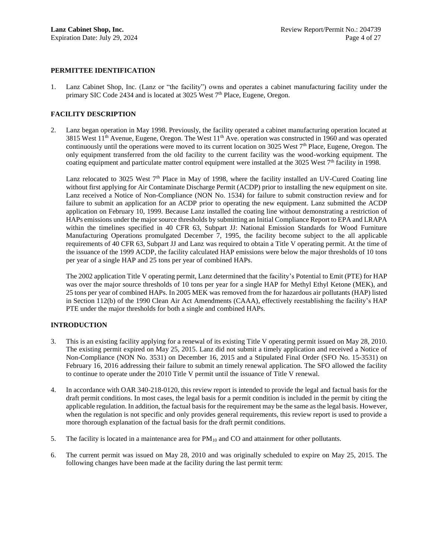#### **PERMITTEE IDENTIFICATION**

1. Lanz Cabinet Shop, Inc. (Lanz or "the facility") owns and operates a cabinet manufacturing facility under the primary SIC Code 2434 and is located at 3025 West  $7<sup>th</sup>$  Place, Eugene, Oregon.

# **FACILITY DESCRIPTION**

2. Lanz began operation in May 1998. Previously, the facility operated a cabinet manufacturing operation located at 3815 West  $11<sup>th</sup>$  Avenue, Eugene, Oregon. The West  $11<sup>th</sup>$  Ave. operation was constructed in 1960 and was operated continuously until the operations were moved to its current location on  $3025$  West  $7<sup>th</sup>$  Place, Eugene, Oregon. The only equipment transferred from the old facility to the current facility was the wood-working equipment. The coating equipment and particulate matter control equipment were installed at the 3025 West 7<sup>th</sup> facility in 1998.

Lanz relocated to 3025 West  $7<sup>th</sup>$  Place in May of 1998, where the facility installed an UV-Cured Coating line without first applying for Air Contaminate Discharge Permit (ACDP) prior to installing the new equipment on site. Lanz received a Notice of Non-Compliance (NON No. 1534) for failure to submit construction review and for failure to submit an application for an ACDP prior to operating the new equipment. Lanz submitted the ACDP application on February 10, 1999. Because Lanz installed the coating line without demonstrating a restriction of HAPs emissions under the major source thresholds by submitting an Initial Compliance Report to EPA and LRAPA within the timelines specified in 40 CFR 63, Subpart JJ: National Emission Standards for Wood Furniture Manufacturing Operations promulgated December 7, 1995, the facility become subject to the all applicable requirements of 40 CFR 63, Subpart JJ and Lanz was required to obtain a Title V operating permit. At the time of the issuance of the 1999 ACDP, the facility calculated HAP emissions were below the major thresholds of 10 tons per year of a single HAP and 25 tons per year of combined HAPs.

The 2002 application Title V operating permit, Lanz determined that the facility's Potential to Emit (PTE) for HAP was over the major source thresholds of 10 tons per year for a single HAP for Methyl Ethyl Ketone (MEK), and 25 tons per year of combined HAPs. In 2005 MEK was removed from the for hazardous air pollutants (HAP) listed in Section 112(b) of the 1990 Clean Air Act Amendments (CAAA), effectively reestablishing the facility's HAP PTE under the major thresholds for both a single and combined HAPs.

# **INTRODUCTION**

- 3. This is an existing facility applying for a renewal of its existing Title V operating permit issued on May 28, 2010. The existing permit expired on May 25, 2015. Lanz did not submit a timely application and received a Notice of Non-Compliance (NON No. 3531) on December 16, 2015 and a Stipulated Final Order (SFO No. 15-3531) on February 16, 2016 addressing their failure to submit an timely renewal application. The SFO allowed the facility to continue to operate under the 2010 Title V permit until the issuance of Title V renewal.
- 4. In accordance with OAR 340-218-0120, this review report is intended to provide the legal and factual basis for the draft permit conditions. In most cases, the legal basis for a permit condition is included in the permit by citing the applicable regulation. In addition, the factual basis for the requirement may be the same as the legal basis. However, when the regulation is not specific and only provides general requirements, this review report is used to provide a more thorough explanation of the factual basis for the draft permit conditions.
- 5. The facility is located in a maintenance area for PM<sup>10</sup> and CO and attainment for other pollutants.
- 6. The current permit was issued on May 28, 2010 and was originally scheduled to expire on May 25, 2015. The following changes have been made at the facility during the last permit term: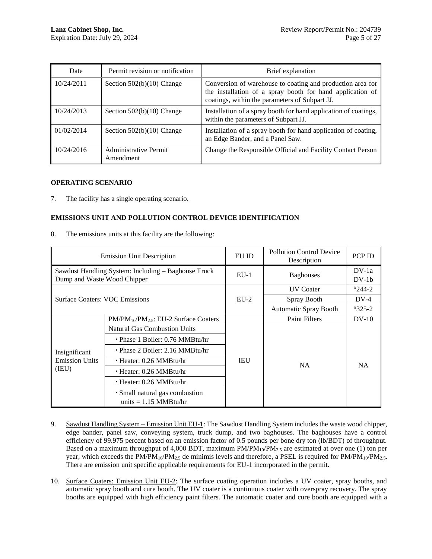| Date       | Permit revision or notification    | Brief explanation                                                                                                                                                         |
|------------|------------------------------------|---------------------------------------------------------------------------------------------------------------------------------------------------------------------------|
| 10/24/2011 | Section $502(b)(10)$ Change        | Conversion of warehouse to coating and production area for<br>the installation of a spray booth for hand application of<br>coatings, within the parameters of Subpart JJ. |
| 10/24/2013 | Section $502(b)(10)$ Change        | Installation of a spray booth for hand application of coatings,<br>within the parameters of Subpart JJ.                                                                   |
| 01/02/2014 | Section $502(b)(10)$ Change        | Installation of a spray booth for hand application of coating,<br>an Edge Bander, and a Panel Saw.                                                                        |
| 10/24/2016 | Administrative Permit<br>Amendment | Change the Responsible Official and Facility Contact Person                                                                                                               |

# **OPERATING SCENARIO**

7. The facility has a single operating scenario.

# **EMISSIONS UNIT AND POLLUTION CONTROL DEVICE IDENTIFICATION**

8. The emissions units at this facility are the following:

|                                                                                    | <b>Emission Unit Description</b>                          | EU ID  | <b>Pollution Control Device</b><br>Description | PCP ID             |
|------------------------------------------------------------------------------------|-----------------------------------------------------------|--------|------------------------------------------------|--------------------|
| Sawdust Handling System: Including - Baghouse Truck<br>Dump and Waste Wood Chipper |                                                           | $EU-1$ | <b>Baghouses</b>                               | $DV-1a$<br>$DV-1b$ |
| <b>Surface Coaters: VOC Emissions</b>                                              |                                                           | $EU-2$ | <b>UV</b> Coater                               | $*244-2$           |
|                                                                                    |                                                           |        | Spray Booth                                    | $DV-4$             |
|                                                                                    |                                                           |        | <b>Automatic Spray Booth</b>                   | $*325-2$           |
| Insignificant<br><b>Emission Units</b><br>(IEU)                                    | $PM/PM_{10}/PM_{25}$ : EU-2 Surface Coaters               |        | <b>Paint Filters</b>                           | $DV-10$            |
|                                                                                    | <b>Natural Gas Combustion Units</b>                       | IEU    | NA.                                            | <b>NA</b>          |
|                                                                                    | $\cdot$ Phase 1 Boiler: 0.76 MMBtu/hr                     |        |                                                |                    |
|                                                                                    | $\cdot$ Phase 2 Boiler: 2.16 MMBtu/hr                     |        |                                                |                    |
|                                                                                    | $\cdot$ Heater: 0.26 MMBtu/hr                             |        |                                                |                    |
|                                                                                    | $\cdot$ Heater: 0.26 MMBtu/hr                             |        |                                                |                    |
|                                                                                    | $\cdot$ Heater: 0.26 MMBtu/hr                             |        |                                                |                    |
|                                                                                    | · Small natural gas combustion<br>units $= 1.15$ MMBtu/hr |        |                                                |                    |

- 9. Sawdust Handling System Emission Unit EU-1: The Sawdust Handling System includes the waste wood chipper, edge bander, panel saw, conveying system, truck dump, and two baghouses. The baghouses have a control efficiency of 99.975 percent based on an emission factor of 0.5 pounds per bone dry ton (lb/BDT) of throughput. Based on a maximum throughput of 4,000 BDT, maximum  $PM/PM_{10}/PM_{2.5}$  are estimated at over one (1) ton per year, which exceeds the PM/PM<sub>10</sub>/PM<sub>2.5</sub> de minimis levels and therefore, a PSEL is required for PM/PM<sub>10</sub>/PM<sub>2.5</sub>. There are emission unit specific applicable requirements for EU-1 incorporated in the permit.
- 10. Surface Coaters: Emission Unit EU-2: The surface coating operation includes a UV coater, spray booths, and automatic spray booth and cure booth. The UV coater is a continuous coater with overspray recovery. The spray booths are equipped with high efficiency paint filters. The automatic coater and cure booth are equipped with a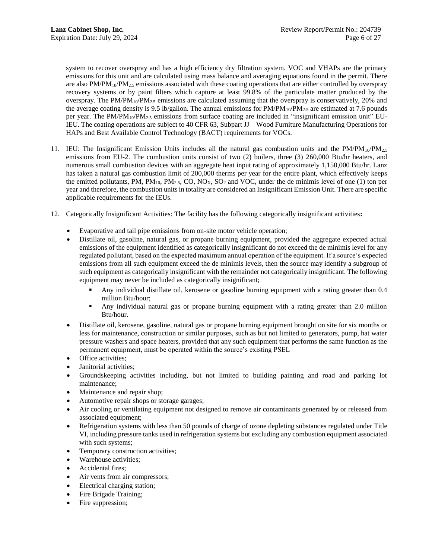system to recover overspray and has a high efficiency dry filtration system. VOC and VHAPs are the primary emissions for this unit and are calculated using mass balance and averaging equations found in the permit. There are also  $PM/PM_{10}/PM_{2.5}$  emissions associated with these coating operations that are either controlled by overspray recovery systems or by paint filters which capture at least 99.8% of the particulate matter produced by the overspray. The  $PM/PM_{10}/PM_{2.5}$  emissions are calculated assuming that the overspray is conservatively, 20% and the average coating density is 9.5 lb/gallon. The annual emissions for  $PM/PM_{10}/PM_{2.5}$  are estimated at 7.6 pounds per year. The PM/PM10/PM2.5 emissions from surface coating are included in "insignificant emission unit" EU-IEU. The coating operations are subject to 40 CFR 63, Subpart JJ – Wood Furniture Manufacturing Operations for HAPs and Best Available Control Technology (BACT) requirements for VOCs.

- 11. IEU: The Insignificant Emission Units includes all the natural gas combustion units and the  $PM_1^0/PM_{10}^2$ emissions from EU-2. The combustion units consist of two (2) boilers, three (3) 260,000 Btu/hr heaters, and numerous small combustion devices with an aggregate heat input rating of approximately 1,150,000 Btu/hr. Lanz has taken a natural gas combustion limit of 200,000 therms per year for the entire plant, which effectively keeps the emitted pollutants, PM,  $PM_{10}$ ,  $PM_{2.5}$ , CO, NO<sub>X</sub>, SO<sub>2</sub> and VOC, under the de minimis level of one (1) ton per year and therefore, the combustion units in totality are considered an Insignificant Emission Unit. There are specific applicable requirements for the IEUs.
- <span id="page-5-0"></span>12. Categorically Insignificant Activities: The facility has the following categorically insignificant activities**:**
	- Evaporative and tail pipe emissions from on-site motor vehicle operation;
	- Distillate oil, gasoline, natural gas, or propane burning equipment, provided the aggregate expected actual emissions of the equipment identified as categorically insignificant do not exceed the de minimis level for any regulated pollutant, based on the expected maximum annual operation of the equipment. If a source's expected emissions from all such equipment exceed the de minimis levels, then the source may identify a subgroup of such equipment as categorically insignificant with the remainder not categorically insignificant. The following equipment may never be included as categorically insignificant;
		- Any individual distillate oil, kerosene or gasoline burning equipment with a rating greater than 0.4 million Btu/hour;
		- Any individual natural gas or propane burning equipment with a rating greater than 2.0 million Btu/hour.
	- Distillate oil, kerosene, gasoline, natural gas or propane burning equipment brought on site for six months or less for maintenance, construction or similar purposes, such as but not limited to generators, pump, hat water pressure washers and space heaters, provided that any such equipment that performs the same function as the permanent equipment, must be operated within the source's existing PSEL
	- Office activities;
	- Janitorial activities;
	- Groundskeeping activities including, but not limited to building painting and road and parking lot maintenance;
	- Maintenance and repair shop;
	- Automotive repair shops or storage garages;
	- Air cooling or ventilating equipment not designed to remove air contaminants generated by or released from associated equipment;
	- Refrigeration systems with less than 50 pounds of charge of ozone depleting substances regulated under Title VI, including pressure tanks used in refrigeration systems but excluding any combustion equipment associated with such systems;
	- Temporary construction activities;
	- Warehouse activities;
	- Accidental fires;
	- Air vents from air compressors;
	- Electrical charging station;
	- Fire Brigade Training;
	- Fire suppression;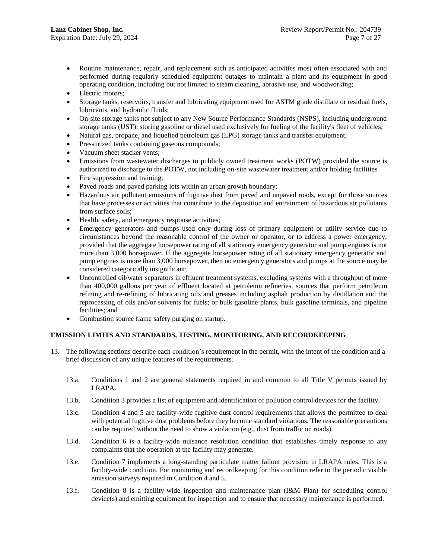- Routine maintenance, repair, and replacement such as anticipated activities most often associated with and performed during regularly scheduled equipment outages to maintain a plant and its equipment in good operating condition, including but not limited to steam cleaning, abrasive use, and woodworking;
- Electric motors;
- Storage tanks, reservoirs, transfer and lubricating equipment used for ASTM grade distillate or residual fuels, lubricants, and hydraulic fluids;
- On-site storage tanks not subject to any New Source Performance Standards (NSPS), including underground storage tanks (UST), storing gasoline or diesel used exclusively for fueling of the facility's fleet of vehicles;
- Natural gas, propane, and liquefied petroleum gas (LPG) storage tanks and transfer equipment;
- Pressurized tanks containing gaseous compounds;
- Vacuum sheet stacker vents;
- Emissions from wastewater discharges to publicly owned treatment works (POTW) provided the source is authorized to discharge to the POTW, not including on-site wastewater treatment and/or holding facilities
- Fire suppression and training;
- Paved roads and paved parking lots within an urban growth boundary;
- Hazardous air pollutant emissions of fugitive dust from paved and unpaved roads, except for those sources that have processes or activities that contribute to the deposition and entrainment of hazardous air pollutants from surface soils;
- Health, safety, and emergency response activities;
- Emergency generators and pumps used only during loss of primary equipment or utility service due to circumstances beyond the reasonable control of the owner or operator, or to address a power emergency, provided that the aggregate horsepower rating of all stationary emergency generator and pump engines is not more than 3,000 horsepower. If the aggregate horsepower rating of all stationary emergency generator and pump engines is more than 3,000 horsepower, then no emergency generators and pumps at the source may be considered categorically insignificant;
- Uncontrolled oil/water separators in effluent treatment systems, excluding systems with a throughput of more than 400,000 gallons per year of effluent located at petroleum refineries, sources that perform petroleum refining and re-refining of lubricating oils and greases including asphalt production by distillation and the reprocessing of oils and/or solvents for fuels; or bulk gasoline plants, bulk gasoline terminals, and pipeline facilities; and
- Combustion source flame safety purging on startup.

# **EMISSION LIMITS AND STANDARDS, TESTING, MONITORING, AND RECORDKEEPING**

- 13. The following sections describe each condition's requirement in the permit, with the intent of the condition and a brief discussion of any unique features of the requirements.
	- 13.a. Conditions 1 and 2 are general statements required in and common to all Title V permits issued by LRAPA.
	- 13.b. Condition 3 provides a list of equipment and identification of pollution control devices for the facility.
	- 13.c. Condition 4 and 5 are facility-wide fugitive dust control requirements that allows the permittee to deal with potential fugitive dust problems before they become standard violations. The reasonable precautions can be required without the need to show a violation (e.g., dust from traffic on roads).
	- 13.d. Condition 6 is a facility-wide nuisance resolution condition that establishes timely response to any complaints that the operation at the facility may generate.
	- 13.e. Condition 7 implements a long-standing particulate matter fallout provision in LRAPA rules. This is a facility-wide condition. For monitoring and recordkeeping for this condition refer to the periodic visible emission surveys required in Condition 4 and 5.
	- 13.f. Condition 8 is a facility-wide inspection and maintenance plan (I&M Plan) for scheduling control device(s) and emitting equipment for inspection and to ensure that necessary maintenance is performed.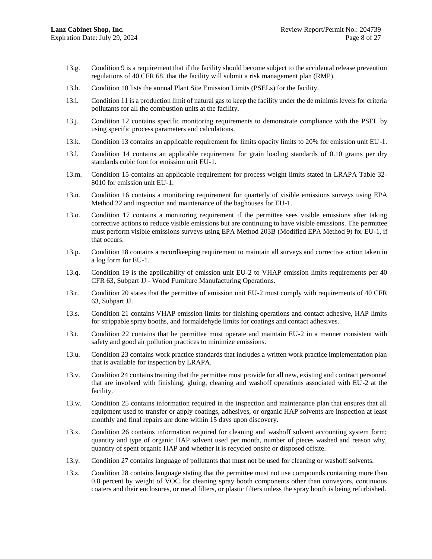- 13.g. Condition 9 is a requirement that if the facility should become subject to the accidental release prevention regulations of 40 CFR 68, that the facility will submit a risk management plan (RMP).
- 13.h. Condition 10 lists the annual Plant Site Emission Limits (PSELs) for the facility.
- 13.i. Condition 11 is a production limit of natural gas to keep the facility under the de minimis levels for criteria pollutants for all the combustion units at the facility.
- 13.j. Condition 12 contains specific monitoring requirements to demonstrate compliance with the PSEL by using specific process parameters and calculations.
- 13.k. Condition 13 contains an applicable requirement for limits opacity limits to 20% for emission unit EU-1.
- 13.l. Condition 14 contains an applicable requirement for grain loading standards of 0.10 grains per dry standards cubic foot for emission unit EU-1.
- 13.m. Condition 15 contains an applicable requirement for process weight limits stated in LRAPA Table 32- 8010 for emission unit EU-1.
- 13.n. Condition 16 contains a monitoring requirement for quarterly of visible emissions surveys using EPA Method 22 and inspection and maintenance of the baghouses for EU-1.
- 13.o. Condition 17 contains a monitoring requirement if the permittee sees visible emissions after taking corrective actions to reduce visible emissions but are continuing to have visible emissions. The permittee must perform visible emissions surveys using EPA Method 203B (Modified EPA Method 9) for EU-1, if that occurs.
- 13.p. Condition 18 contains a recordkeeping requirement to maintain all surveys and corrective action taken in a log form for EU-1.
- 13.q. Condition 19 is the applicability of emission unit EU-2 to VHAP emission limits requirements per 40 CFR 63, Subpart JJ - Wood Furniture Manufacturing Operations.
- 13.r. Condition 20 states that the permittee of emission unit EU-2 must comply with requirements of 40 CFR 63, Subpart JJ.
- 13.s. Condition 21 contains VHAP emission limits for finishing operations and contact adhesive, HAP limits for strippable spray booths, and formaldehyde limits for coatings and contact adhesives.
- 13.t. Condition 22 contains that he permittee must operate and maintain EU-2 in a manner consistent with safety and good air pollution practices to minimize emissions.
- 13.u. Condition 23 contains work practice standards that includes a written work practice implementation plan that is available for inspection by LRAPA.
- 13.v. Condition 24 contains training that the permittee must provide for all new, existing and contract personnel that are involved with finishing, gluing, cleaning and washoff operations associated with EU-2 at the facility.
- 13.w. Condition 25 contains information required in the inspection and maintenance plan that ensures that all equipment used to transfer or apply coatings, adhesives, or organic HAP solvents are inspection at least monthly and final repairs are done within 15 days upon discovery.
- 13.x. Condition 26 contains information required for cleaning and washoff solvent accounting system form; quantity and type of organic HAP solvent used per month, number of pieces washed and reason why, quantity of spent organic HAP and whether it is recycled onsite or disposed offsite.
- 13.y. Condition 27 contains language of pollutants that must not be used for cleaning or washoff solvents.
- 13.z. Condition 28 contains language stating that the permittee must not use compounds containing more than 0.8 percent by weight of VOC for cleaning spray booth components other than conveyors, continuous coaters and their enclosures, or metal filters, or plastic filters unless the spray booth is being refurbished.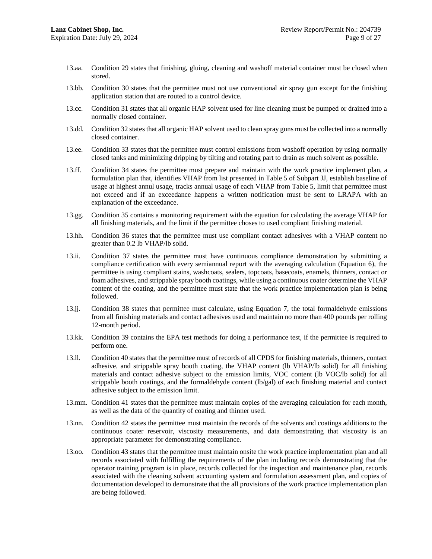- 13.aa. Condition 29 states that finishing, gluing, cleaning and washoff material container must be closed when stored.
- 13.bb. Condition 30 states that the permittee must not use conventional air spray gun except for the finishing application station that are routed to a control device.
- 13.cc. Condition 31 states that all organic HAP solvent used for line cleaning must be pumped or drained into a normally closed container.
- 13.dd. Condition 32 states that all organic HAP solvent used to clean spray guns must be collected into a normally closed container.
- 13.ee. Condition 33 states that the permittee must control emissions from washoff operation by using normally closed tanks and minimizing dripping by tilting and rotating part to drain as much solvent as possible.
- 13.ff. Condition 34 states the permittee must prepare and maintain with the work practice implement plan, a formulation plan that, identifies VHAP from list presented in Table 5 of Subpart JJ, establish baseline of usage at highest annul usage, tracks annual usage of each VHAP from Table 5, limit that permittee must not exceed and if an exceedance happens a written notification must be sent to LRAPA with an explanation of the exceedance.
- 13.gg. Condition 35 contains a monitoring requirement with the equation for calculating the average VHAP for all finishing materials, and the limit if the permittee choses to used compliant finishing material.
- 13.hh. Condition 36 states that the permittee must use compliant contact adhesives with a VHAP content no greater than 0.2 lb VHAP/lb solid.
- 13.ii. Condition 37 states the permittee must have continuous compliance demonstration by submitting a compliance certification with every semiannual report with the averaging calculation (Equation 6), the permittee is using compliant stains, washcoats, sealers, topcoats, basecoats, enamels, thinners, contact or foam adhesives, and strippable spray booth coatings, while using a continuous coater determine the VHAP content of the coating, and the permittee must state that the work practice implementation plan is being followed.
- 13.jj. Condition 38 states that permittee must calculate, using Equation 7, the total formaldehyde emissions from all finishing materials and contact adhesives used and maintain no more than 400 pounds per rolling 12-month period.
- 13.kk. Condition 39 contains the EPA test methods for doing a performance test, if the permittee is required to perform one.
- 13.ll. Condition 40 states that the permittee must of records of all CPDS for finishing materials, thinners, contact adhesive, and strippable spray booth coating, the VHAP content (lb VHAP/lb solid) for all finishing materials and contact adhesive subject to the emission limits, VOC content (lb VOC/lb solid) for all strippable booth coatings, and the formaldehyde content (lb/gal) of each finishing material and contact adhesive subject to the emission limit.
- 13.mm. Condition 41 states that the permittee must maintain copies of the averaging calculation for each month, as well as the data of the quantity of coating and thinner used.
- 13.nn. Condition 42 states the permittee must maintain the records of the solvents and coatings additions to the continuous coater reservoir, viscosity measurements, and data demonstrating that viscosity is an appropriate parameter for demonstrating compliance.
- 13.oo. Condition 43 states that the permittee must maintain onsite the work practice implementation plan and all records associated with fulfilling the requirements of the plan including records demonstrating that the operator training program is in place, records collected for the inspection and maintenance plan, records associated with the cleaning solvent accounting system and formulation assessment plan, and copies of documentation developed to demonstrate that the all provisions of the work practice implementation plan are being followed.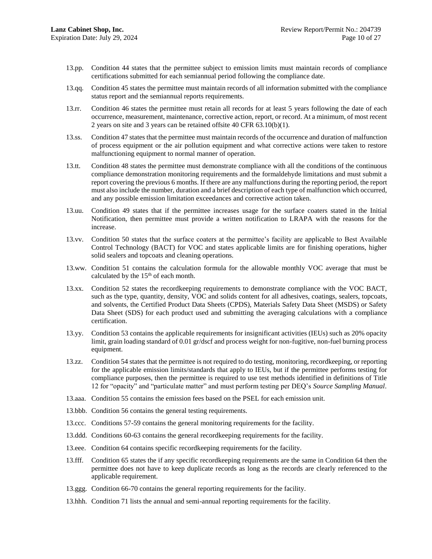- 13.pp. Condition 44 states that the permittee subject to emission limits must maintain records of compliance certifications submitted for each semiannual period following the compliance date.
- 13.qq. Condition 45 states the permittee must maintain records of all information submitted with the compliance status report and the semiannual reports requirements.
- 13.rr. Condition 46 states the permittee must retain all records for at least 5 years following the date of each occurrence, measurement, maintenance, corrective action, report, or record. At a minimum, of most recent 2 years on site and 3 years can be retained offsite 40 CFR 63.10(b)(1).
- 13.ss. Condition 47 states that the permittee must maintain records of the occurrence and duration of malfunction of process equipment or the air pollution equipment and what corrective actions were taken to restore malfunctioning equipment to normal manner of operation.
- 13.tt. Condition 48 states the permittee must demonstrate compliance with all the conditions of the continuous compliance demonstration monitoring requirements and the formaldehyde limitations and must submit a report covering the previous 6 months. If there are any malfunctions during the reporting period, the report must also include the number, duration and a brief description of each type of malfunction which occurred, and any possible emission limitation exceedances and corrective action taken.
- 13.uu. Condition 49 states that if the permittee increases usage for the surface coaters stated in the Initial Notification, then permittee must provide a written notification to LRAPA with the reasons for the increase.
- 13.vv. Condition 50 states that the surface coaters at the permittee's facility are applicable to Best Available Control Technology (BACT) for VOC and states applicable limits are for finishing operations, higher solid sealers and topcoats and cleaning operations.
- 13.ww. Condition 51 contains the calculation formula for the allowable monthly VOC average that must be calculated by the  $15<sup>th</sup>$  of each month.
- 13.xx. Condition 52 states the recordkeeping requirements to demonstrate compliance with the VOC BACT, such as the type, quantity, density, VOC and solids content for all adhesives, coatings, sealers, topcoats, and solvents, the Certified Product Data Sheets (CPDS), Materials Safety Data Sheet (MSDS) or Safety Data Sheet (SDS) for each product used and submitting the averaging calculations with a compliance certification.
- 13.yy. Condition 53 contains the applicable requirements for insignificant activities (IEUs) such as 20% opacity limit, grain loading standard of 0.01 gr/dscf and process weight for non-fugitive, non-fuel burning process equipment.
- 13.zz. Condition 54 states that the permittee is not required to do testing, monitoring, recordkeeping, or reporting for the applicable emission limits/standards that apply to IEUs, but if the permittee performs testing for compliance purposes, then the permittee is required to use test methods identified in definitions of Title 12 for "opacity" and "particulate matter" and must perform testing per DEQ's *Source Sampling Manual*.
- 13.aaa. Condition 55 contains the emission fees based on the PSEL for each emission unit.
- 13.bbb. Condition 56 contains the general testing requirements.
- 13.ccc. Conditions 57-59 contains the general monitoring requirements for the facility.
- 13.ddd. Conditions 60-63 contains the general recordkeeping requirements for the facility.
- 13.eee. Condition 64 contains specific recordkeeping requirements for the facility.
- 13.fff. Condition 65 states the if any specific recordkeeping requirements are the same in Condition 64 then the permittee does not have to keep duplicate records as long as the records are clearly referenced to the applicable requirement.
- 13.ggg. Condition 66-70 contains the general reporting requirements for the facility.
- 13.hhh. Condition 71 lists the annual and semi-annual reporting requirements for the facility.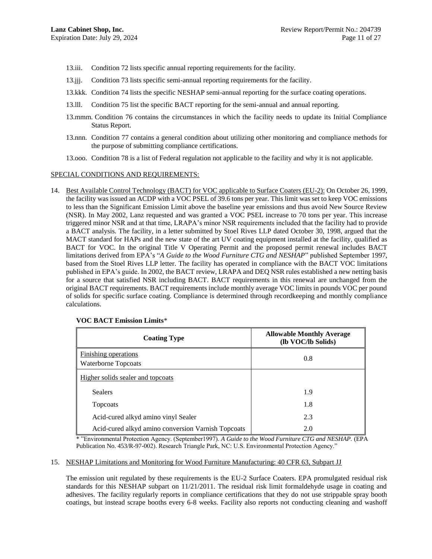- 13.iii. Condition 72 lists specific annual reporting requirements for the facility.
- 13.jjj. Condition 73 lists specific semi-annual reporting requirements for the facility.
- 13.kkk. Condition 74 lists the specific NESHAP semi-annual reporting for the surface coating operations.
- 13.lll. Condition 75 list the specific BACT reporting for the semi-annual and annual reporting.
- 13.mmm. Condition 76 contains the circumstances in which the facility needs to update its Initial Compliance Status Report.
- 13.nnn. Condition 77 contains a general condition about utilizing other monitoring and compliance methods for the purpose of submitting compliance certifications.
- 13.ooo. Condition 78 is a list of Federal regulation not applicable to the facility and why it is not applicable.

#### SPECIAL CONDITIONS AND REQUIREMENTS:

14. Best Available Control Technology (BACT) for VOC applicable to Surface Coaters (EU-2): On October 26, 1999, the facility was issued an ACDP with a VOC PSEL of 39.6 tons per year. This limit was set to keep VOC emissions to less than the Significant Emission Limit above the baseline year emissions and thus avoid New Source Review (NSR). In May 2002, Lanz requested and was granted a VOC PSEL increase to 70 tons per year. This increase triggered minor NSR and at that time, LRAPA's minor NSR requirements included that the facility had to provide a BACT analysis. The facility, in a letter submitted by Stoel Rives LLP dated October 30, 1998, argued that the MACT standard for HAPs and the new state of the art UV coating equipment installed at the facility, qualified as BACT for VOC. In the original Title V Operating Permit and the proposed permit renewal includes BACT limitations derived from EPA's "*A Guide to the Wood Furniture CTG and NESHAP*" published September 1997, based from the Stoel Rives LLP letter. The facility has operated in compliance with the BACT VOC limitations published in EPA's guide. In 2002, the BACT review, LRAPA and DEQ NSR rules established a new netting basis for a source that satisfied NSR including BACT. BACT requirements in this renewal are unchanged from the original BACT requirements. BACT requirements include monthly average VOC limits in pounds VOC per pound of solids for specific surface coating. Compliance is determined through recordkeeping and monthly compliance calculations.

| <b>Coating Type</b>                                | <b>Allowable Monthly Average</b><br>(lb VOC/lb Solids) |
|----------------------------------------------------|--------------------------------------------------------|
| Finishing operations<br><b>Waterborne Topcoats</b> | 0.8                                                    |
| Higher solids sealer and topcoats                  |                                                        |
| <b>Sealers</b>                                     | 1.9                                                    |
| Topcoats                                           | 1.8                                                    |
| Acid-cured alkyd amino vinyl Sealer                | 2.3                                                    |
| Acid-cured alkyd amino conversion Varnish Topcoats | 2.0                                                    |

#### **VOC BACT Emission Limits**\*

\* "Environmental Protection Agency. (September1997). *A Guide to the Wood Furniture CTG and NESHAP.* (EPA Publication No. 453/R-97-002). Research Triangle Park, NC: U.S. Environmental Protection Agency."

#### 15. NESHAP Limitations and Monitoring for Wood Furniture Manufacturing: 40 CFR 63, Subpart JJ

The emission unit regulated by these requirements is the EU-2 Surface Coaters. EPA promulgated residual risk standards for this NESHAP subpart on 11/21/2011. The residual risk limit formaldehyde usage in coating and adhesives. The facility regularly reports in compliance certifications that they do not use strippable spray booth coatings, but instead scrape booths every 6-8 weeks. Facility also reports not conducting cleaning and washoff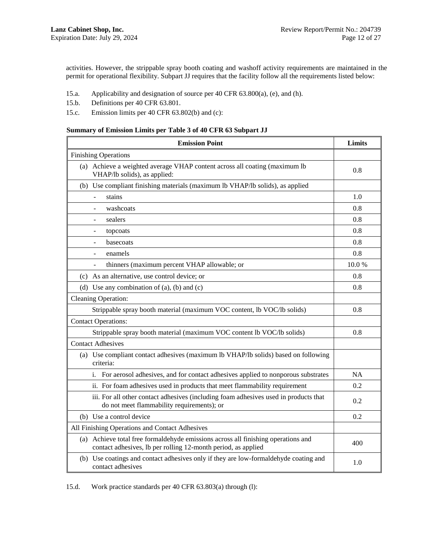activities. However, the strippable spray booth coating and washoff activity requirements are maintained in the permit for operational flexibility. Subpart JJ requires that the facility follow all the requirements listed below:

- 15.a. Applicability and designation of source per 40 CFR 63.800(a), (e), and (h).
- 15.b. Definitions per 40 CFR 63.801.
- 15.c. Emission limits per 40 CFR 63.802(b) and (c):

#### **Summary of Emission Limits per Table 3 of 40 CFR 63 Subpart JJ**

| <b>Emission Point</b>                                                                                                                              | Limits    |  |  |  |  |
|----------------------------------------------------------------------------------------------------------------------------------------------------|-----------|--|--|--|--|
| <b>Finishing Operations</b>                                                                                                                        |           |  |  |  |  |
| (a) Achieve a weighted average VHAP content across all coating (maximum lb<br>VHAP/lb solids), as applied:                                         | 0.8       |  |  |  |  |
| (b) Use compliant finishing materials (maximum lb VHAP/lb solids), as applied                                                                      |           |  |  |  |  |
| stains                                                                                                                                             | 1.0       |  |  |  |  |
| washcoats                                                                                                                                          | 0.8       |  |  |  |  |
| sealers<br>$\qquad \qquad \blacksquare$                                                                                                            | 0.8       |  |  |  |  |
| topcoats                                                                                                                                           | 0.8       |  |  |  |  |
| basecoats                                                                                                                                          | 0.8       |  |  |  |  |
| enamels                                                                                                                                            | 0.8       |  |  |  |  |
| thinners (maximum percent VHAP allowable; or<br>$\blacksquare$                                                                                     | 10.0%     |  |  |  |  |
| (c) As an alternative, use control device; or                                                                                                      |           |  |  |  |  |
| (d) Use any combination of $(a)$ , $(b)$ and $(c)$                                                                                                 | 0.8       |  |  |  |  |
| <b>Cleaning Operation:</b>                                                                                                                         |           |  |  |  |  |
| Strippable spray booth material (maximum VOC content, lb VOC/lb solids)                                                                            | 0.8       |  |  |  |  |
| <b>Contact Operations:</b>                                                                                                                         |           |  |  |  |  |
| Strippable spray booth material (maximum VOC content lb VOC/lb solids)                                                                             | 0.8       |  |  |  |  |
| <b>Contact Adhesives</b>                                                                                                                           |           |  |  |  |  |
| (a) Use compliant contact adhesives (maximum lb VHAP/lb solids) based on following<br>criteria:                                                    |           |  |  |  |  |
| For aerosol adhesives, and for contact adhesives applied to nonporous substrates<br>i.                                                             | <b>NA</b> |  |  |  |  |
| ii. For foam adhesives used in products that meet flammability requirement                                                                         | 0.2       |  |  |  |  |
| iii. For all other contact adhesives (including foam adhesives used in products that<br>do not meet flammability requirements); or                 |           |  |  |  |  |
| (b) Use a control device                                                                                                                           | 0.2       |  |  |  |  |
| All Finishing Operations and Contact Adhesives                                                                                                     |           |  |  |  |  |
| (a) Achieve total free formaldehyde emissions across all finishing operations and<br>contact adhesives, lb per rolling 12-month period, as applied | 400       |  |  |  |  |
| (b) Use coatings and contact adhesives only if they are low-formaldehyde coating and<br>contact adhesives                                          | 1.0       |  |  |  |  |

15.d. Work practice standards per 40 CFR 63.803(a) through (l):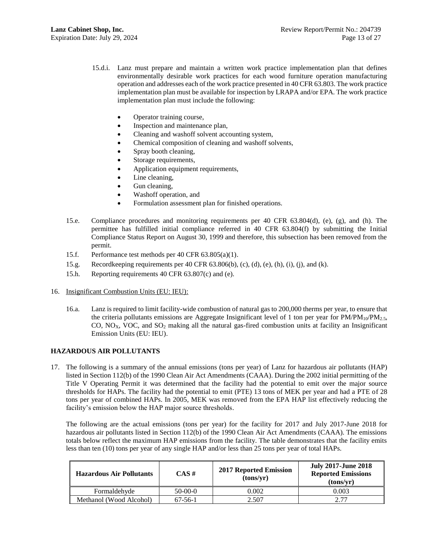- 15.d.i. Lanz must prepare and maintain a written work practice implementation plan that defines environmentally desirable work practices for each wood furniture operation manufacturing operation and addresses each of the work practice presented in 40 CFR 63.803. The work practice implementation plan must be available for inspection by LRAPA and/or EPA. The work practice implementation plan must include the following:
	- Operator training course,
	- Inspection and maintenance plan,
	- Cleaning and washoff solvent accounting system,
	- Chemical composition of cleaning and washoff solvents,
	- Spray booth cleaning,
	- Storage requirements,
	- Application equipment requirements,
	- Line cleaning,
	- Gun cleaning,
	- Washoff operation, and
	- Formulation assessment plan for finished operations.
- 15.e. Compliance procedures and monitoring requirements per 40 CFR 63.804(d), (e), (g), and (h). The permittee has fulfilled initial compliance referred in 40 CFR 63.804(f) by submitting the Initial Compliance Status Report on August 30, 1999 and therefore, this subsection has been removed from the permit.
- 15.f. Performance test methods per 40 CFR 63.805(a)(1).
- 15.g. Recordkeeping requirements per 40 CFR 63.806(b), (c), (d), (e), (h), (i), (j), and (k).
- 15.h. Reporting requirements 40 CFR 63.807(c) and (e).
- 16. Insignificant Combustion Units (EU: IEU):
	- 16.a. Lanz is required to limit facility-wide combustion of natural gas to 200,000 therms per year, to ensure that the criteria pollutants emissions are Aggregate Insignificant level of 1 ton per year for  $PM/PM_{10}/PM_{2.5}$ , CO,  $NO<sub>X</sub>$ , VOC, and  $SO<sub>2</sub>$  making all the natural gas-fired combustion units at facility an Insignificant Emission Units (EU: IEU).

# **HAZARDOUS AIR POLLUTANTS**

17. The following is a summary of the annual emissions (tons per year) of Lanz for hazardous air pollutants (HAP) listed in Section 112(b) of the 1990 Clean Air Act Amendments (CAAA). During the 2002 initial permitting of the Title V Operating Permit it was determined that the facility had the potential to emit over the major source thresholds for HAPs. The facility had the potential to emit (PTE) 13 tons of MEK per year and had a PTE of 28 tons per year of combined HAPs. In 2005, MEK was removed from the EPA HAP list effectively reducing the facility's emission below the HAP major source thresholds.

The following are the actual emissions (tons per year) for the facility for 2017 and July 2017-June 2018 for hazardous air pollutants listed in Section 112(b) of the 1990 Clean Air Act Amendments (CAAA). The emissions totals below reflect the maximum HAP emissions from the facility. The table demonstrates that the facility emits less than ten (10) tons per year of any single HAP and/or less than 25 tons per year of total HAPs.

| <b>Hazardous Air Pollutants</b> | $CAS \#$      | <b>2017 Reported Emission</b><br>(tons/vr) | <b>July 2017-June 2018</b><br><b>Reported Emissions</b><br>(tons/vr) |
|---------------------------------|---------------|--------------------------------------------|----------------------------------------------------------------------|
| Formaldehyde                    | $50-00-0$     | 0.002                                      | 0.003                                                                |
| Methanol (Wood Alcohol)         | $67 - 56 - 1$ | 2.507                                      | רד ר                                                                 |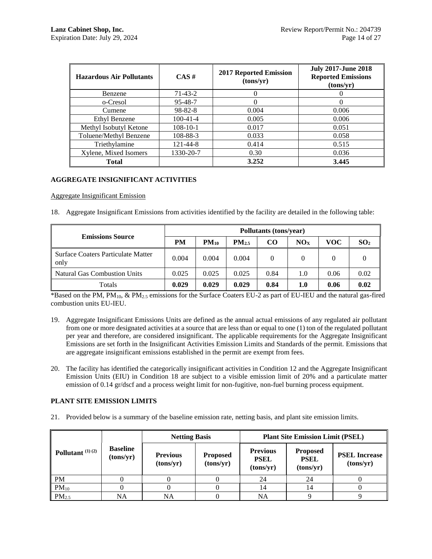| <b>Hazardous Air Pollutants</b> | $CAS \#$       | <b>2017 Reported Emission</b><br>(tons/yr) | <b>July 2017-June 2018</b><br><b>Reported Emissions</b><br>(tons/yr) |
|---------------------------------|----------------|--------------------------------------------|----------------------------------------------------------------------|
| Benzene                         | 71-43-2        | 0                                          |                                                                      |
| o-Cresol                        | 95-48-7        | $\theta$                                   |                                                                      |
| Cumene                          | $98 - 82 - 8$  | 0.004                                      | 0.006                                                                |
| Ethyl Benzene                   | $100-41-4$     | 0.005                                      | 0.006                                                                |
| Methyl Isobutyl Ketone          | $108-10-1$     | 0.017                                      | 0.051                                                                |
| Toluene/Methyl Benzene          | 108-88-3       | 0.033                                      | 0.058                                                                |
| Triethylamine                   | $121 - 44 - 8$ | 0.414                                      | 0.515                                                                |
| Xylene, Mixed Isomers           | 1330-20-7      | 0.30                                       | 0.036                                                                |
| <b>Total</b>                    |                | 3.252                                      | 3.445                                                                |

# **AGGREGATE INSIGNIFICANT ACTIVITIES**

Aggregate Insignificant Emission

<span id="page-13-0"></span>18. Aggregate Insignificant Emissions from activities identified by the facility are detailed in the following table:

|                                            | Pollutants (tons/year) |           |            |      |     |      |                 |
|--------------------------------------------|------------------------|-----------|------------|------|-----|------|-----------------|
| <b>Emissions Source</b>                    | <b>PM</b>              | $PM_{10}$ | $PM_{2.5}$ | CO.  | NOx | VOC  | SO <sub>2</sub> |
| Surface Coaters Particulate Matter<br>only | 0.004                  | 0.004     | 0.004      | 0    |     | 0    |                 |
| <b>Natural Gas Combustion Units</b>        | 0.025                  | 0.025     | 0.025      | 0.84 | 1.0 | 0.06 | 0.02            |
| Totals                                     | 0.029                  | 0.029     | 0.029      | 0.84 | 1.0 | 0.06 | 0.02            |

\*Based on the PM, PM<sub>10</sub>,  $\&$  PM<sub>2.5</sub> emissions for the Surface Coaters EU-2 as part of EU-IEU and the natural gas-fired combustion units EU-IEU.

- 19. Aggregate Insignificant Emissions Units are defined as the annual actual emissions of any regulated air pollutant from one or more designated activities at a source that are less than or equal to one (1) ton of the regulated pollutant per year and therefore, are considered insignificant. The applicable requirements for the Aggregate Insignificant Emissions are set forth in the Insignificant Activities Emission Limits and Standards of the permit. Emissions that are aggregate insignificant emissions established in the permit are exempt from fees.
- 20. The facility has identified the categorically insignificant activities in Condition [12](#page-5-0) and the Aggregate Insignificant Emission Units (EIU) in Condition [18](#page-13-0) are subject to a visible emission limit of 20% and a particulate matter emission of 0.14 gr/dscf and a process weight limit for non-fugitive, non-fuel burning process equipment.

# **PLANT SITE EMISSION LIMITS**

21. Provided below is a summary of the baseline emission rate, netting basis, and plant site emission limits.

|                    |                              | <b>Netting Basis</b>         |                              | <b>Plant Site Emission Limit (PSEL)</b>     |                                             |                                   |
|--------------------|------------------------------|------------------------------|------------------------------|---------------------------------------------|---------------------------------------------|-----------------------------------|
| Pollutant $(1)(2)$ | <b>Baseline</b><br>(tons/yr) | <b>Previous</b><br>(tons/yr) | <b>Proposed</b><br>(tons/yr) | <b>Previous</b><br><b>PSEL</b><br>(tons/yr) | <b>Proposed</b><br><b>PSEL</b><br>(tons/yr) | <b>PSEL Increase</b><br>(tons/yr) |
| PM                 |                              |                              |                              | 24                                          | 24                                          |                                   |
| $PM_{10}$          |                              |                              |                              |                                             | 14                                          |                                   |
| $PM_{2.5}$         | NA                           | <b>NA</b>                    |                              | NA                                          |                                             |                                   |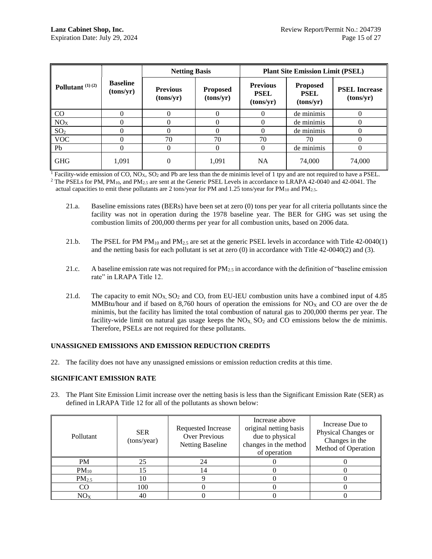|                    |                              | <b>Netting Basis</b>         |                              | <b>Plant Site Emission Limit (PSEL)</b>     |                                             |                                   |
|--------------------|------------------------------|------------------------------|------------------------------|---------------------------------------------|---------------------------------------------|-----------------------------------|
| Pollutant $(1)(2)$ | <b>Baseline</b><br>(tons/yr) | <b>Previous</b><br>(tons/yr) | <b>Proposed</b><br>(tons/yr) | <b>Previous</b><br><b>PSEL</b><br>(tons/yr) | <b>Proposed</b><br><b>PSEL</b><br>(tons/yr) | <b>PSEL Increase</b><br>(tons/yr) |
| $\rm CO$           |                              | 0                            |                              |                                             | de minimis                                  |                                   |
| NO <sub>X</sub>    |                              | $_{0}$                       |                              |                                             | de minimis                                  |                                   |
| SO <sub>2</sub>    |                              | $\Omega$                     |                              |                                             | de minimis                                  |                                   |
| <b>VOC</b>         |                              | 70                           | 70                           | 70                                          | 70                                          |                                   |
| Pb                 | 0                            | $\theta$                     | 0                            | 0                                           | de minimis                                  | $\Omega$                          |
| <b>GHG</b>         | 1,091                        | $\theta$                     | 1,091                        | NA                                          | 74,000                                      | 74,000                            |

<sup>1</sup> Facility-wide emission of CO, NO<sub>X</sub>, SO<sub>2</sub> and Pb are less than the de minimis level of 1 tpy and are not required to have a PSEL. <sup>2</sup> The PSELs for PM, PM<sub>10</sub>, and PM<sub>2.5</sub> are sent at the Generic PSEL Levels in accordance to LRAPA 42-0040 and 42-0041. The

actual capacities to emit these pollutants are 2 tons/year for PM and 1.25 tons/year for PM<sub>10</sub> and PM<sub>2.5</sub>.

- 21.a. Baseline emissions rates (BERs) have been set at zero (0) tons per year for all criteria pollutants since the facility was not in operation during the 1978 baseline year. The BER for GHG was set using the combustion limits of 200,000 therms per year for all combustion units, based on 2006 data.
- 21.b. The PSEL for PM PM<sub>10</sub> and PM<sub>2.5</sub> are set at the generic PSEL levels in accordance with Title 42-0040(1) and the netting basis for each pollutant is set at zero (0) in accordance with Title 42-0040(2) and (3).
- 21.c. A baseline emission rate was not required for  $PM_{2.5}$  in accordance with the definition of "baseline emission" rate" in LRAPA Title 12.
- 21.d. The capacity to emit  $NO<sub>X</sub>$ ,  $SO<sub>2</sub>$  and CO, from EU-IEU combustion units have a combined input of 4.85 MMBtu/hour and if based on 8,760 hours of operation the emissions for  $NO<sub>X</sub>$  and CO are over the de minimis, but the facility has limited the total combustion of natural gas to 200,000 therms per year. The facility-wide limit on natural gas usage keeps the  $NO<sub>X</sub>$ ,  $SO<sub>2</sub>$  and CO emissions below the de minimis. Therefore, PSELs are not required for these pollutants.

# **UNASSIGNED EMISSIONS AND EMISSION REDUCTION CREDITS**

22. The facility does not have any unassigned emissions or emission reduction credits at this time.

# **SIGNIFICANT EMISSION RATE**

23. The Plant Site Emission Limit increase over the netting basis is less than the Significant Emission Rate (SER) as defined in LRAPA Title 12 for all of the pollutants as shown below:

| Pollutant         | <b>SER</b><br>(tons/year) | Requested Increase<br>Over Previous<br><b>Netting Baseline</b> | Increase above<br>original netting basis<br>due to physical<br>changes in the method<br>of operation | Increase Due to<br>Physical Changes or<br>Changes in the<br>Method of Operation |
|-------------------|---------------------------|----------------------------------------------------------------|------------------------------------------------------------------------------------------------------|---------------------------------------------------------------------------------|
| <b>PM</b>         | 25                        | 24                                                             |                                                                                                      |                                                                                 |
| $PM_{10}$         |                           | 14                                                             |                                                                                                      |                                                                                 |
| PM <sub>2.5</sub> | 10                        |                                                                |                                                                                                      |                                                                                 |
| CO                | 100                       |                                                                |                                                                                                      |                                                                                 |
| $\rm NOx$         | 40                        |                                                                |                                                                                                      |                                                                                 |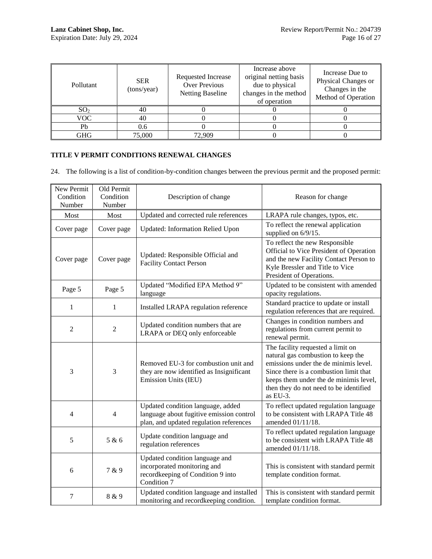| Pollutant       | <b>SER</b><br>(tons/year) | Requested Increase<br>Over Previous<br><b>Netting Baseline</b> | Increase above<br>original netting basis<br>due to physical<br>changes in the method<br>of operation | Increase Due to<br>Physical Changes or<br>Changes in the<br>Method of Operation |
|-----------------|---------------------------|----------------------------------------------------------------|------------------------------------------------------------------------------------------------------|---------------------------------------------------------------------------------|
| SO <sub>2</sub> | 40                        |                                                                |                                                                                                      |                                                                                 |
| VOC.            | 40                        |                                                                |                                                                                                      |                                                                                 |
| Pb              | 0.6                       |                                                                |                                                                                                      |                                                                                 |
| GHG             | 75,000                    | 72.909                                                         |                                                                                                      |                                                                                 |

# **TITLE V PERMIT CONDITIONS RENEWAL CHANGES**

24. The following is a list of condition-by-condition changes between the previous permit and the proposed permit:

| New Permit<br>Condition<br>Number | Old Permit<br>Condition<br>Number | Description of change                                                                                                    | Reason for change                                                                                                                                                                                                                                          |
|-----------------------------------|-----------------------------------|--------------------------------------------------------------------------------------------------------------------------|------------------------------------------------------------------------------------------------------------------------------------------------------------------------------------------------------------------------------------------------------------|
| Most                              | Most                              | Updated and corrected rule references                                                                                    | LRAPA rule changes, typos, etc.                                                                                                                                                                                                                            |
| Cover page                        | Cover page                        | <b>Updated: Information Relied Upon</b>                                                                                  | To reflect the renewal application<br>supplied on 6/9/15.                                                                                                                                                                                                  |
| Cover page                        | Cover page                        | Updated: Responsible Official and<br><b>Facility Contact Person</b>                                                      | To reflect the new Responsible<br>Official to Vice President of Operation<br>and the new Facility Contact Person to<br>Kyle Bressler and Title to Vice<br>President of Operations.                                                                         |
| Page 5                            | Page 5                            | Updated "Modified EPA Method 9"<br>language                                                                              | Updated to be consistent with amended<br>opacity regulations.                                                                                                                                                                                              |
| $\mathbf{1}$                      | $\mathbf{1}$                      | Installed LRAPA regulation reference                                                                                     | Standard practice to update or install<br>regulation references that are required.                                                                                                                                                                         |
| 2                                 | 2                                 | Updated condition numbers that are<br>LRAPA or DEQ only enforceable                                                      | Changes in condition numbers and<br>regulations from current permit to<br>renewal permit.                                                                                                                                                                  |
| 3                                 | 3                                 | Removed EU-3 for combustion unit and<br>they are now identified as Insignificant<br>Emission Units (IEU)                 | The facility requested a limit on<br>natural gas combustion to keep the<br>emissions under the de minimis level.<br>Since there is a combustion limit that<br>keeps them under the de minimis level,<br>then they do not need to be identified<br>as EU-3. |
| 4                                 | 4                                 | Updated condition language, added<br>language about fugitive emission control<br>plan, and updated regulation references | To reflect updated regulation language<br>to be consistent with LRAPA Title 48<br>amended 01/11/18.                                                                                                                                                        |
| 5                                 | 5 & 6                             | Update condition language and<br>regulation references                                                                   | To reflect updated regulation language<br>to be consistent with LRAPA Title 48<br>amended 01/11/18.                                                                                                                                                        |
| 6                                 | 7 & 9                             | Updated condition language and<br>incorporated monitoring and<br>recordkeeping of Condition 9 into<br>Condition 7        | This is consistent with standard permit<br>template condition format.                                                                                                                                                                                      |
| 7                                 | 8 & 9                             | Updated condition language and installed<br>monitoring and recordkeeping condition.                                      | This is consistent with standard permit<br>template condition format.                                                                                                                                                                                      |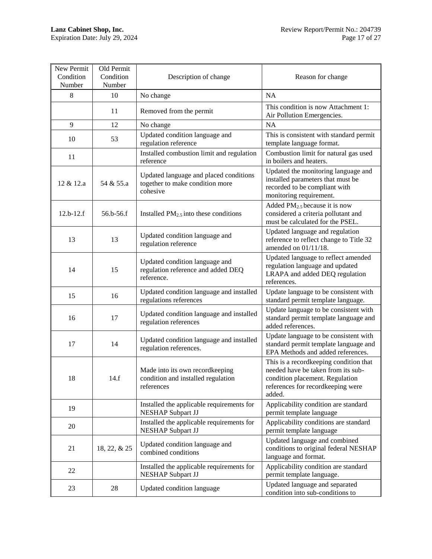| New Permit<br>Condition<br>Number | Old Permit<br>Condition<br>Number | Description of change                                                                 | Reason for change                                                                                                                                               |
|-----------------------------------|-----------------------------------|---------------------------------------------------------------------------------------|-----------------------------------------------------------------------------------------------------------------------------------------------------------------|
| 8                                 | 10                                | No change                                                                             | <b>NA</b>                                                                                                                                                       |
|                                   | 11                                | Removed from the permit                                                               | This condition is now Attachment 1:<br>Air Pollution Emergencies.                                                                                               |
| 9                                 | 12                                | No change                                                                             | <b>NA</b>                                                                                                                                                       |
| 10                                | 53                                | Updated condition language and<br>regulation reference                                | This is consistent with standard permit<br>template language format.                                                                                            |
| 11                                |                                   | Installed combustion limit and regulation<br>reference                                | Combustion limit for natural gas used<br>in boilers and heaters.                                                                                                |
| 12 & 12.a                         | 54 & 55.a                         | Updated language and placed conditions<br>together to make condition more<br>cohesive | Updated the monitoring language and<br>installed parameters that must be<br>recorded to be compliant with<br>monitoring requirement.                            |
| $12.b-12.f$                       | 56.b-56.f                         | Installed $PM2.5$ into these conditions                                               | Added PM <sub>2.5</sub> because it is now<br>considered a criteria pollutant and<br>must be calculated for the PSEL.                                            |
| 13                                | 13                                | Updated condition language and<br>regulation reference                                | Updated language and regulation<br>reference to reflect change to Title 32<br>amended on $01/11/18$ .                                                           |
| 14                                | 15                                | Updated condition language and<br>regulation reference and added DEQ<br>reference.    | Updated language to reflect amended<br>regulation language and updated<br>LRAPA and added DEQ regulation<br>references.                                         |
| 15                                | 16                                | Updated condition language and installed<br>regulations references                    | Update language to be consistent with<br>standard permit template language.                                                                                     |
| 16                                | 17                                | Updated condition language and installed<br>regulation references                     | Update language to be consistent with<br>standard permit template language and<br>added references.                                                             |
| 17                                | 14                                | Updated condition language and installed<br>regulation references.                    | Update language to be consistent with<br>standard permit template language and<br>EPA Methods and added references.                                             |
| 18                                | 14.f                              | Made into its own recordkeeping<br>condition and installed regulation<br>references   | This is a record keeping condition that<br>needed have be taken from its sub-<br>condition placement. Regulation<br>references for recordkeeping were<br>added. |
| 19                                |                                   | Installed the applicable requirements for<br><b>NESHAP Subpart JJ</b>                 | Applicability condition are standard<br>permit template language                                                                                                |
| 20                                |                                   | Installed the applicable requirements for<br><b>NESHAP Subpart JJ</b>                 | Applicability conditions are standard<br>permit template language                                                                                               |
| 21                                | 18, 22, & 25                      | Updated condition language and<br>combined conditions                                 | Updated language and combined<br>conditions to original federal NESHAP<br>language and format.                                                                  |
| 22                                |                                   | Installed the applicable requirements for<br><b>NESHAP Subpart JJ</b>                 | Applicability condition are standard<br>permit template language.                                                                                               |
| 23                                | 28                                | Updated condition language                                                            | Updated language and separated<br>condition into sub-conditions to                                                                                              |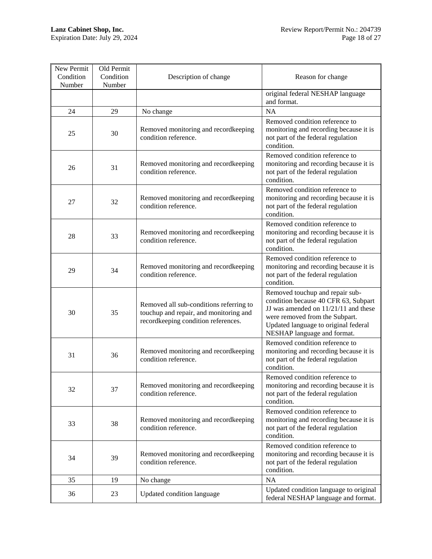| New Permit<br>Condition<br>Number | Old Permit<br>Condition<br>Number | Description of change                                                                                                    | Reason for change                                                                                                                                                                                                        |
|-----------------------------------|-----------------------------------|--------------------------------------------------------------------------------------------------------------------------|--------------------------------------------------------------------------------------------------------------------------------------------------------------------------------------------------------------------------|
|                                   |                                   |                                                                                                                          | original federal NESHAP language<br>and format.                                                                                                                                                                          |
| 24                                | 29                                | No change                                                                                                                | <b>NA</b>                                                                                                                                                                                                                |
| 25                                | 30                                | Removed monitoring and recordkeeping<br>condition reference.                                                             | Removed condition reference to<br>monitoring and recording because it is<br>not part of the federal regulation<br>condition.                                                                                             |
| 26                                | 31                                | Removed monitoring and recordkeeping<br>condition reference.                                                             | Removed condition reference to<br>monitoring and recording because it is<br>not part of the federal regulation<br>condition.                                                                                             |
| 27                                | 32                                | Removed monitoring and recordkeeping<br>condition reference.                                                             | Removed condition reference to<br>monitoring and recording because it is<br>not part of the federal regulation<br>condition.                                                                                             |
| 28                                | 33                                | Removed monitoring and recordkeeping<br>condition reference.                                                             | Removed condition reference to<br>monitoring and recording because it is<br>not part of the federal regulation<br>condition.                                                                                             |
| 29                                | 34                                | Removed monitoring and recordkeeping<br>condition reference.                                                             | Removed condition reference to<br>monitoring and recording because it is<br>not part of the federal regulation<br>condition.                                                                                             |
| 30                                | 35                                | Removed all sub-conditions referring to<br>touchup and repair, and monitoring and<br>recordkeeping condition references. | Removed touchup and repair sub-<br>condition because 40 CFR 63, Subpart<br>JJ was amended on 11/21/11 and these<br>were removed from the Subpart.<br>Updated language to original federal<br>NESHAP language and format. |
| 31                                | 36                                | Removed monitoring and recordkeeping<br>condition reference.                                                             | Removed condition reference to<br>monitoring and recording because it is<br>not part of the federal regulation<br>condition.                                                                                             |
| 32                                | 37                                | Removed monitoring and recordkeeping<br>condition reference.                                                             | Removed condition reference to<br>monitoring and recording because it is<br>not part of the federal regulation<br>condition.                                                                                             |
| 33                                | 38                                | Removed monitoring and recordkeeping<br>condition reference.                                                             | Removed condition reference to<br>monitoring and recording because it is<br>not part of the federal regulation<br>condition.                                                                                             |
| 34                                | 39                                | Removed monitoring and recordkeeping<br>condition reference.                                                             | Removed condition reference to<br>monitoring and recording because it is<br>not part of the federal regulation<br>condition.                                                                                             |
| 35                                | 19                                | No change                                                                                                                | NA                                                                                                                                                                                                                       |
| 36                                | 23                                | Updated condition language                                                                                               | Updated condition language to original<br>federal NESHAP language and format.                                                                                                                                            |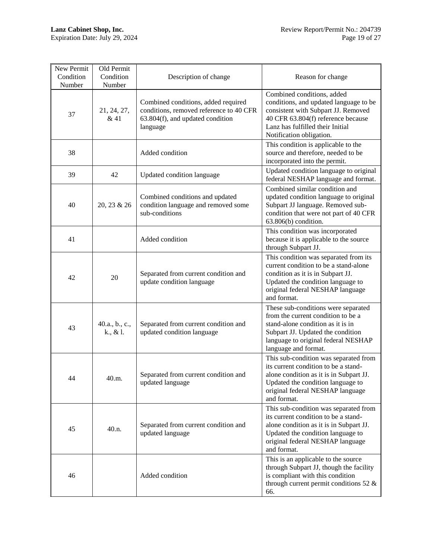| New Permit<br>Condition<br>Number | Old Permit<br>Condition<br>Number | Description of change                                                                                                          | Reason for change                                                                                                                                                                                                  |
|-----------------------------------|-----------------------------------|--------------------------------------------------------------------------------------------------------------------------------|--------------------------------------------------------------------------------------------------------------------------------------------------------------------------------------------------------------------|
| 37                                | 21, 24, 27,<br>& 41               | Combined conditions, added required<br>conditions, removed reference to 40 CFR<br>63.804(f), and updated condition<br>language | Combined conditions, added<br>conditions, and updated language to be<br>consistent with Subpart JJ. Removed<br>40 CFR 63.804(f) reference because<br>Lanz has fulfilled their Initial<br>Notification obligation.  |
| 38                                |                                   | Added condition                                                                                                                | This condition is applicable to the<br>source and therefore, needed to be<br>incorporated into the permit.                                                                                                         |
| 39                                | 42                                | Updated condition language                                                                                                     | Updated condition language to original<br>federal NESHAP language and format.                                                                                                                                      |
| 40                                | 20, 23 & 26                       | Combined conditions and updated<br>condition language and removed some<br>sub-conditions                                       | Combined similar condition and<br>updated condition language to original<br>Subpart JJ language. Removed sub-<br>condition that were not part of 40 CFR<br>63.806(b) condition.                                    |
| 41                                |                                   | Added condition                                                                                                                | This condition was incorporated<br>because it is applicable to the source<br>through Subpart JJ.                                                                                                                   |
| 42                                | 20                                | Separated from current condition and<br>update condition language                                                              | This condition was separated from its<br>current condition to be a stand-alone<br>condition as it is in Subpart JJ.<br>Updated the condition language to<br>original federal NESHAP language<br>and format.        |
| 43                                | 40.a., b., c.,<br>k., & l.        | Separated from current condition and<br>updated condition language                                                             | These sub-conditions were separated<br>from the current condition to be a<br>stand-alone condition as it is in<br>Subpart JJ. Updated the condition<br>language to original federal NESHAP<br>language and format. |
| 44                                | 40.m.                             | Separated from current condition and<br>updated language                                                                       | This sub-condition was separated from<br>its current condition to be a stand-<br>alone condition as it is in Subpart JJ.<br>Updated the condition language to<br>original federal NESHAP language<br>and format.   |
| 45                                | 40.n.                             | Separated from current condition and<br>updated language                                                                       | This sub-condition was separated from<br>its current condition to be a stand-<br>alone condition as it is in Subpart JJ.<br>Updated the condition language to<br>original federal NESHAP language<br>and format.   |
| 46                                |                                   | Added condition                                                                                                                | This is an applicable to the source<br>through Subpart JJ, though the facility<br>is compliant with this condition<br>through current permit conditions 52 $\&$<br>66.                                             |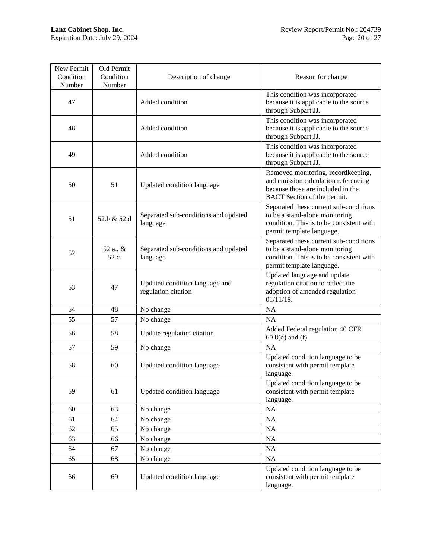| New Permit<br>Condition<br>Number | Old Permit<br>Condition<br>Number | Description of change                                 | Reason for change                                                                                                                                 |
|-----------------------------------|-----------------------------------|-------------------------------------------------------|---------------------------------------------------------------------------------------------------------------------------------------------------|
| 47                                |                                   | Added condition                                       | This condition was incorporated<br>because it is applicable to the source<br>through Subpart JJ.                                                  |
| 48                                |                                   | Added condition                                       | This condition was incorporated<br>because it is applicable to the source<br>through Subpart JJ.                                                  |
| 49                                |                                   | Added condition                                       | This condition was incorporated<br>because it is applicable to the source<br>through Subpart JJ.                                                  |
| 50                                | 51                                | Updated condition language                            | Removed monitoring, recordkeeping,<br>and emission calculation referencing<br>because those are included in the<br>BACT Section of the permit.    |
| 51                                | 52.b & 52.d                       | Separated sub-conditions and updated<br>language      | Separated these current sub-conditions<br>to be a stand-alone monitoring<br>condition. This is to be consistent with<br>permit template language. |
| 52                                | 52.a., &<br>52.c.                 | Separated sub-conditions and updated<br>language      | Separated these current sub-conditions<br>to be a stand-alone monitoring<br>condition. This is to be consistent with<br>permit template language. |
| 53                                | 47                                | Updated condition language and<br>regulation citation | Updated language and update<br>regulation citation to reflect the<br>adoption of amended regulation<br>$01/11/18$ .                               |
| 54                                | 48                                | No change                                             | <b>NA</b>                                                                                                                                         |
| 55                                | 57                                | No change                                             | <b>NA</b>                                                                                                                                         |
| 56                                | 58                                | Update regulation citation                            | Added Federal regulation 40 CFR<br>$60.8(d)$ and (f).                                                                                             |
| 57                                | 59                                | No change                                             | NA                                                                                                                                                |
| 58                                | 60                                | Updated condition language                            | Updated condition language to be<br>consistent with permit template<br>language.                                                                  |
| 59                                | 61                                | Updated condition language                            | Updated condition language to be<br>consistent with permit template<br>language.                                                                  |
| 60                                | 63                                | No change                                             | <b>NA</b>                                                                                                                                         |
| 61                                | 64                                | No change                                             | NA                                                                                                                                                |
| 62                                | 65                                | No change                                             | NA                                                                                                                                                |
| 63                                | 66                                | No change                                             | NA                                                                                                                                                |
| 64                                | 67                                | No change                                             | NA                                                                                                                                                |
| 65                                | 68                                | No change                                             | NA                                                                                                                                                |
| 66                                | 69                                | Updated condition language                            | Updated condition language to be<br>consistent with permit template<br>language.                                                                  |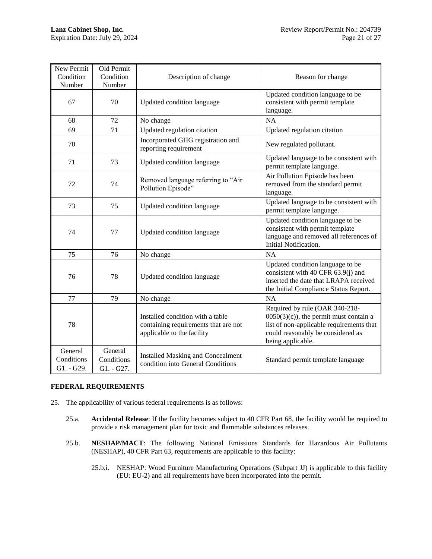| New Permit<br>Condition<br>Number   | Old Permit<br>Condition<br>Number   | Description of change                                                                                  | Reason for change                                                                                                                                                                |
|-------------------------------------|-------------------------------------|--------------------------------------------------------------------------------------------------------|----------------------------------------------------------------------------------------------------------------------------------------------------------------------------------|
| 67                                  | 70                                  | Updated condition language                                                                             | Updated condition language to be<br>consistent with permit template<br>language.                                                                                                 |
| 68                                  | 72                                  | No change                                                                                              | NA                                                                                                                                                                               |
| 69                                  | 71                                  | Updated regulation citation                                                                            | Updated regulation citation                                                                                                                                                      |
| 70                                  |                                     | Incorporated GHG registration and<br>reporting requirement                                             | New regulated pollutant.                                                                                                                                                         |
| 71                                  | 73                                  | Updated condition language                                                                             | Updated language to be consistent with<br>permit template language.                                                                                                              |
| 72                                  | 74                                  | Removed language referring to "Air<br>Pollution Episode"                                               | Air Pollution Episode has been<br>removed from the standard permit<br>language.                                                                                                  |
| 73                                  | 75                                  | Updated condition language                                                                             | Updated language to be consistent with<br>permit template language.                                                                                                              |
| 74                                  | 77                                  | Updated condition language                                                                             | Updated condition language to be<br>consistent with permit template<br>language and removed all references of<br>Initial Notification.                                           |
| 75                                  | 76                                  | No change                                                                                              | <b>NA</b>                                                                                                                                                                        |
| 76                                  | 78                                  | Updated condition language                                                                             | Updated condition language to be<br>consistent with 40 CFR 63.9(j) and<br>inserted the date that LRAPA received<br>the Initial Compliance Status Report.                         |
| 77                                  | 79                                  | No change                                                                                              | NA                                                                                                                                                                               |
| 78                                  |                                     | Installed condition with a table<br>containing requirements that are not<br>applicable to the facility | Required by rule (OAR 340-218-<br>$0050(3)(c)$ , the permit must contain a<br>list of non-applicable requirements that<br>could reasonably be considered as<br>being applicable. |
| General<br>Conditions<br>G1. - G29. | General<br>Conditions<br>G1. - G27. | <b>Installed Masking and Concealment</b><br>condition into General Conditions                          | Standard permit template language                                                                                                                                                |

# **FEDERAL REQUIREMENTS**

- 25. The applicability of various federal requirements is as follows:
	- 25.a. **Accidental Release**: If the facility becomes subject to 40 CFR Part 68, the facility would be required to provide a risk management plan for toxic and flammable substances releases.
	- 25.b. **NESHAP/MACT**: The following National Emissions Standards for Hazardous Air Pollutants (NESHAP), 40 CFR Part 63, requirements are applicable to this facility:
		- 25.b.i. NESHAP: Wood Furniture Manufacturing Operations (Subpart JJ) is applicable to this facility (EU: EU-2) and all requirements have been incorporated into the permit.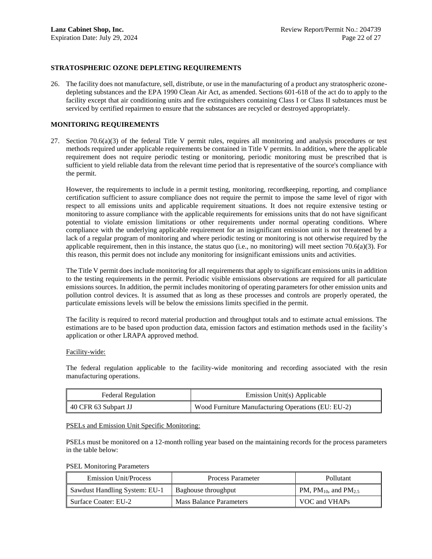## **STRATOSPHERIC OZONE DEPLETING REQUIREMENTS**

26. The facility does not manufacture, sell, distribute, or use in the manufacturing of a product any stratospheric ozonedepleting substances and the EPA 1990 Clean Air Act, as amended. Sections 601-618 of the act do to apply to the facility except that air conditioning units and fire extinguishers containing Class I or Class II substances must be serviced by certified repairmen to ensure that the substances are recycled or destroyed appropriately.

#### **MONITORING REQUIREMENTS**

27. Section  $70.6(a)(3)$  of the federal Title V permit rules, requires all monitoring and analysis procedures or test methods required under applicable requirements be contained in Title V permits. In addition, where the applicable requirement does not require periodic testing or monitoring, periodic monitoring must be prescribed that is sufficient to yield reliable data from the relevant time period that is representative of the source's compliance with the permit.

However, the requirements to include in a permit testing, monitoring, recordkeeping, reporting, and compliance certification sufficient to assure compliance does not require the permit to impose the same level of rigor with respect to all emissions units and applicable requirement situations. It does not require extensive testing or monitoring to assure compliance with the applicable requirements for emissions units that do not have significant potential to violate emission limitations or other requirements under normal operating conditions. Where compliance with the underlying applicable requirement for an insignificant emission unit is not threatened by a lack of a regular program of monitoring and where periodic testing or monitoring is not otherwise required by the applicable requirement, then in this instance, the status quo (i.e., no monitoring) will meet section 70.6(a)(3). For this reason, this permit does not include any monitoring for insignificant emissions units and activities.

The Title V permit does include monitoring for all requirements that apply to significant emissions units in addition to the testing requirements in the permit. Periodic visible emissions observations are required for all particulate emissions sources. In addition, the permit includes monitoring of operating parameters for other emission units and pollution control devices. It is assumed that as long as these processes and controls are properly operated, the particulate emissions levels will be below the emissions limits specified in the permit.

The facility is required to record material production and throughput totals and to estimate actual emissions. The estimations are to be based upon production data, emission factors and estimation methods used in the facility's application or other LRAPA approved method.

#### Facility-wide:

The federal regulation applicable to the facility-wide monitoring and recording associated with the resin manufacturing operations.

| <b>Federal Regulation</b> | Emission Unit(s) Applicable                        |
|---------------------------|----------------------------------------------------|
| 40 CFR 63 Subpart JJ      | Wood Furniture Manufacturing Operations (EU: EU-2) |

#### PSELs and Emission Unit Specific Monitoring:

PSELs must be monitored on a 12-month rolling year based on the maintaining records for the process parameters in the table below:

PSEL Monitoring Parameters

| <b>Emission Unit/Process</b>  | Process Parameter              | <b>Pollutant</b>                             |
|-------------------------------|--------------------------------|----------------------------------------------|
| Sawdust Handling System: EU-1 | Baghouse throughput            | PM, PM <sub>10</sub> , and PM <sub>2.5</sub> |
| Surface Coater: EU-2          | <b>Mass Balance Parameters</b> | VOC and VHAPs                                |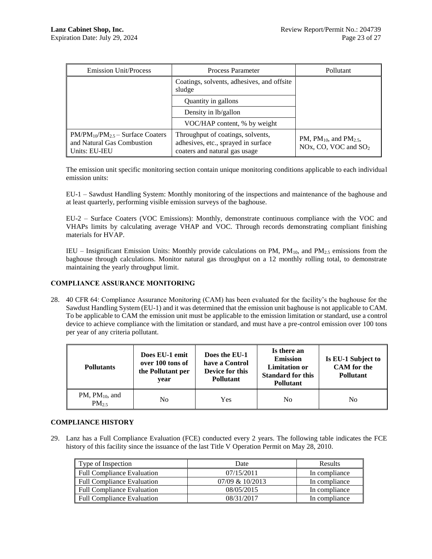| <b>Emission Unit/Process</b>                                                           | <b>Process Parameter</b>                                                                                  | Pollutant                                                                |
|----------------------------------------------------------------------------------------|-----------------------------------------------------------------------------------------------------------|--------------------------------------------------------------------------|
|                                                                                        | Coatings, solvents, adhesives, and offsite<br>sludge                                                      |                                                                          |
|                                                                                        | Quantity in gallons                                                                                       |                                                                          |
|                                                                                        | Density in lb/gallon                                                                                      |                                                                          |
|                                                                                        | VOC/HAP content, % by weight                                                                              |                                                                          |
| $PM/PM_{10}/PM_{2.5}$ – Surface Coaters<br>and Natural Gas Combustion<br>Units: EU-IEU | Throughput of coatings, solvents,<br>adhesives, etc., sprayed in surface<br>coaters and natural gas usage | PM, PM <sub>10</sub> , and PM <sub>2.5</sub> ,<br>NOx, CO, VOC and $SO2$ |

The emission unit specific monitoring section contain unique monitoring conditions applicable to each individual emission units:

EU-1 – Sawdust Handling System: Monthly monitoring of the inspections and maintenance of the baghouse and at least quarterly, performing visible emission surveys of the baghouse.

EU-2 – Surface Coaters (VOC Emissions): Monthly, demonstrate continuous compliance with the VOC and VHAPs limits by calculating average VHAP and VOC. Through records demonstrating compliant finishing materials for HVAP.

IEU – Insignificant Emission Units: Monthly provide calculations on PM,  $PM_{10}$ , and  $PM_{2.5}$  emissions from the baghouse through calculations. Monitor natural gas throughput on a 12 monthly rolling total, to demonstrate maintaining the yearly throughput limit.

# **COMPLIANCE ASSURANCE MONITORING**

28. 40 CFR 64: Compliance Assurance Monitoring (CAM) has been evaluated for the facility's the baghouse for the Sawdust Handling System (EU-1) and it was determined that the emission unit baghouse is not applicable to CAM. To be applicable to CAM the emission unit must be applicable to the emission limitation or standard, use a control device to achieve compliance with the limitation or standard, and must have a pre-control emission over 100 tons per year of any criteria pollutant.

| <b>Pollutants</b>                 | Does EU-1 emit<br>over 100 tons of<br>the Pollutant per<br>vear | Does the EU-1<br>have a Control<br>Device for this<br><b>Pollutant</b> | Is there an<br><b>Emission</b><br><b>Limitation or</b><br><b>Standard for this</b><br><b>Pollutant</b> | Is EU-1 Subject to<br><b>CAM</b> for the<br><b>Pollutant</b> |
|-----------------------------------|-----------------------------------------------------------------|------------------------------------------------------------------------|--------------------------------------------------------------------------------------------------------|--------------------------------------------------------------|
| PM, $PM_{10}$ , and<br>$PM_{2.5}$ | No                                                              | Yes                                                                    | No                                                                                                     | N <sub>0</sub>                                               |

# **COMPLIANCE HISTORY**

29. Lanz has a Full Compliance Evaluation (FCE) conducted every 2 years. The following table indicates the FCE history of this facility since the issuance of the last Title V Operation Permit on May 28, 2010.

| Type of Inspection                | Date            | <b>Results</b> |
|-----------------------------------|-----------------|----------------|
| Full Compliance Evaluation        | 07/15/2011      | In compliance  |
| <b>Full Compliance Evaluation</b> | 07/09 & 10/2013 | In compliance  |
| <b>Full Compliance Evaluation</b> | 08/05/2015      | In compliance  |
| <b>Full Compliance Evaluation</b> | 08/31/2017      | In compliance  |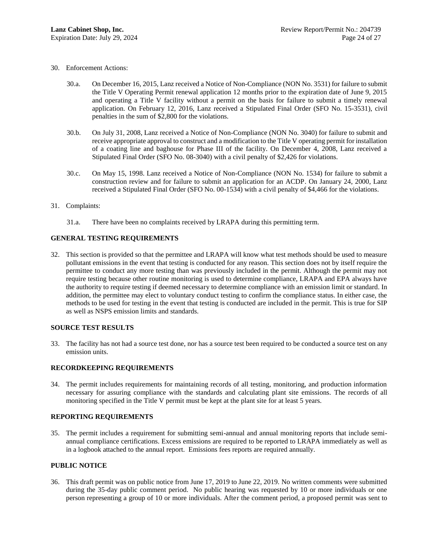- 30. Enforcement Actions:
	- 30.a. On December 16, 2015, Lanz received a Notice of Non-Compliance (NON No. 3531) for failure to submit the Title V Operating Permit renewal application 12 months prior to the expiration date of June 9, 2015 and operating a Title V facility without a permit on the basis for failure to submit a timely renewal application. On February 12, 2016, Lanz received a Stipulated Final Order (SFO No. 15-3531), civil penalties in the sum of \$2,800 for the violations.
	- 30.b. On July 31, 2008, Lanz received a Notice of Non-Compliance (NON No. 3040) for failure to submit and receive appropriate approval to construct and a modification to the Title V operating permit for installation of a coating line and baghouse for Phase III of the facility. On December 4, 2008, Lanz received a Stipulated Final Order (SFO No. 08-3040) with a civil penalty of \$2,426 for violations.
	- 30.c. On May 15, 1998. Lanz received a Notice of Non-Compliance (NON No. 1534) for failure to submit a construction review and for failure to submit an application for an ACDP. On January 24, 2000, Lanz received a Stipulated Final Order (SFO No. 00-1534) with a civil penalty of \$4,466 for the violations.
- 31. Complaints:
	- 31.a. There have been no complaints received by LRAPA during this permitting term.

# **GENERAL TESTING REQUIREMENTS**

32. This section is provided so that the permittee and LRAPA will know what test methods should be used to measure pollutant emissions in the event that testing is conducted for any reason. This section does not by itself require the permittee to conduct any more testing than was previously included in the permit. Although the permit may not require testing because other routine monitoring is used to determine compliance, LRAPA and EPA always have the authority to require testing if deemed necessary to determine compliance with an emission limit or standard. In addition, the permittee may elect to voluntary conduct testing to confirm the compliance status. In either case, the methods to be used for testing in the event that testing is conducted are included in the permit. This is true for SIP as well as NSPS emission limits and standards.

#### **SOURCE TEST RESULTS**

33. The facility has not had a source test done, nor has a source test been required to be conducted a source test on any emission units.

#### **RECORDKEEPING REQUIREMENTS**

34. The permit includes requirements for maintaining records of all testing, monitoring, and production information necessary for assuring compliance with the standards and calculating plant site emissions. The records of all monitoring specified in the Title V permit must be kept at the plant site for at least 5 years.

#### **REPORTING REQUIREMENTS**

35. The permit includes a requirement for submitting semi-annual and annual monitoring reports that include semiannual compliance certifications. Excess emissions are required to be reported to LRAPA immediately as well as in a logbook attached to the annual report. Emissions fees reports are required annually.

#### **PUBLIC NOTICE**

36. This draft permit was on public notice from June 17, 2019 to June 22, 2019. No written comments were submitted during the 35-day public comment period. No public hearing was requested by 10 or more individuals or one person representing a group of 10 or more individuals. After the comment period, a proposed permit was sent to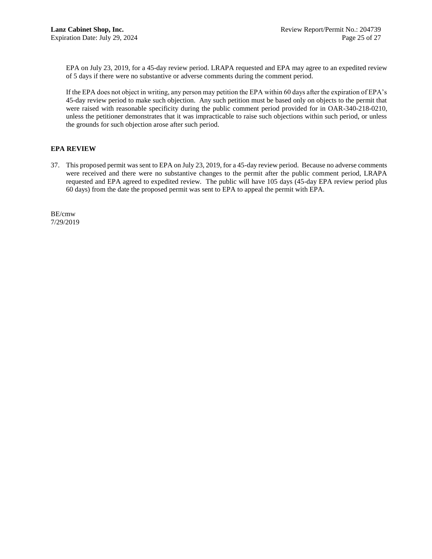EPA on July 23, 2019, for a 45-day review period. LRAPA requested and EPA may agree to an expedited review of 5 days if there were no substantive or adverse comments during the comment period.

If the EPA does not object in writing, any person may petition the EPA within 60 days after the expiration of EPA's 45-day review period to make such objection. Any such petition must be based only on objects to the permit that were raised with reasonable specificity during the public comment period provided for in OAR-340-218-0210, unless the petitioner demonstrates that it was impracticable to raise such objections within such period, or unless the grounds for such objection arose after such period.

#### **EPA REVIEW**

37. This proposed permit was sent to EPA on July 23, 2019, for a 45-day review period. Because no adverse comments were received and there were no substantive changes to the permit after the public comment period, LRAPA requested and EPA agreed to expedited review. The public will have 105 days (45-day EPA review period plus 60 days) from the date the proposed permit was sent to EPA to appeal the permit with EPA.

BE/cmw 7/29/2019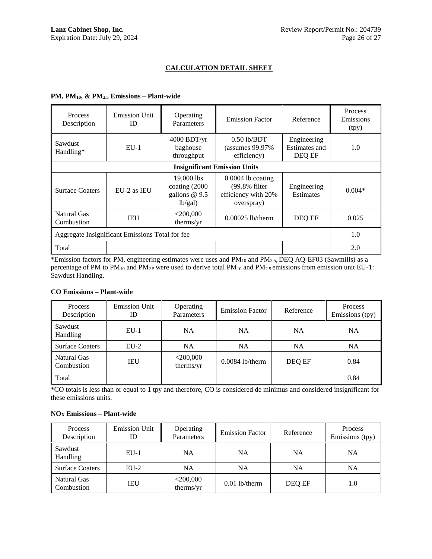# **CALCULATION DETAIL SHEET**

# **PM, PM10, & PM2.5 Emissions – Plant-wide**

| Process<br>Description                          | <b>Emission Unit</b><br>ID          | Operating<br>Parameters                                   | <b>Emission Factor</b>                                                    | Reference                              | Process<br>Emissions<br>(tpy) |  |  |
|-------------------------------------------------|-------------------------------------|-----------------------------------------------------------|---------------------------------------------------------------------------|----------------------------------------|-------------------------------|--|--|
| Sawdust<br>Handling*                            | $EU-1$                              | 4000 BDT/yr<br>baghouse<br>throughput                     | $0.50$ lb/BDT<br>$(assumes 99.97\%$<br>efficiency)                        | Engineering<br>Estimates and<br>DEQ EF | 1.0                           |  |  |
|                                                 | <b>Insignificant Emission Units</b> |                                                           |                                                                           |                                        |                               |  |  |
| <b>Surface Coaters</b>                          | EU-2 as IEU                         | 19,000 lbs<br>coating (2000)<br>gallons $@9.5$<br>lb/gal) | $0.0004$ lb coating<br>(99.8% filter<br>efficiency with 20%<br>overspray) | Engineering<br><b>Estimates</b>        | $0.004*$                      |  |  |
| Natural Gas<br>Combustion                       | <b>IEU</b>                          | $<$ 200,000<br>therms/yr                                  | $0.00025$ lb/therm                                                        | DEQ EF                                 | 0.025                         |  |  |
| Aggregate Insignificant Emissions Total for fee |                                     |                                                           |                                                                           |                                        | 1.0                           |  |  |
| Total                                           |                                     |                                                           |                                                                           |                                        | 2.0                           |  |  |

\*Emission factors for PM, engineering estimates were uses and PM<sub>10</sub> and PM<sub>2.5</sub>, DEQ AQ-EF03 (Sawmills) as a percentage of PM to  $PM_{10}$  and  $PM_{2.5}$  were used to derive total  $PM_{10}$  and  $PM_{2.5}$  emissions from emission unit EU-1: Sawdust Handling.

# **CO Emissions – Plant-wide**

| Process<br>Description    | <b>Emission Unit</b><br>ID | Operating<br>Parameters  | <b>Emission Factor</b> | Reference | Process<br>Emissions (tpy) |
|---------------------------|----------------------------|--------------------------|------------------------|-----------|----------------------------|
| Sawdust<br>Handling       | $EU-1$                     | <b>NA</b>                | <b>NA</b>              | NA        | <b>NA</b>                  |
| <b>Surface Coaters</b>    | $EU-2$                     | NA                       | <b>NA</b>              | <b>NA</b> | <b>NA</b>                  |
| Natural Gas<br>Combustion | <b>IEU</b>                 | $<$ 200,000<br>therms/yr | $0.0084$ lb/therm      | DEQ EF    | 0.84                       |
| Total                     |                            |                          |                        |           | 0.84                       |

\*CO totals is less than or equal to 1 tpy and therefore, CO is considered de minimus and considered insignificant for these emissions units.

#### **NO<sup>X</sup> Emissions – Plant-wide**

| Process<br>Description    | <b>Emission Unit</b><br>ID | Operating<br>Parameters  | <b>Emission Factor</b> | Reference | Process<br>Emissions (tpy) |
|---------------------------|----------------------------|--------------------------|------------------------|-----------|----------------------------|
| Sawdust<br>Handling       | $EU-1$                     | <b>NA</b>                | NA                     | <b>NA</b> | NA                         |
| <b>Surface Coaters</b>    | $EU-2$                     | <b>NA</b>                | NA                     | <b>NA</b> | NA                         |
| Natural Gas<br>Combustion | <b>IEU</b>                 | $<$ 200,000<br>therms/yr | $0.01$ lb/therm        | DEQ EF    | 1.0                        |